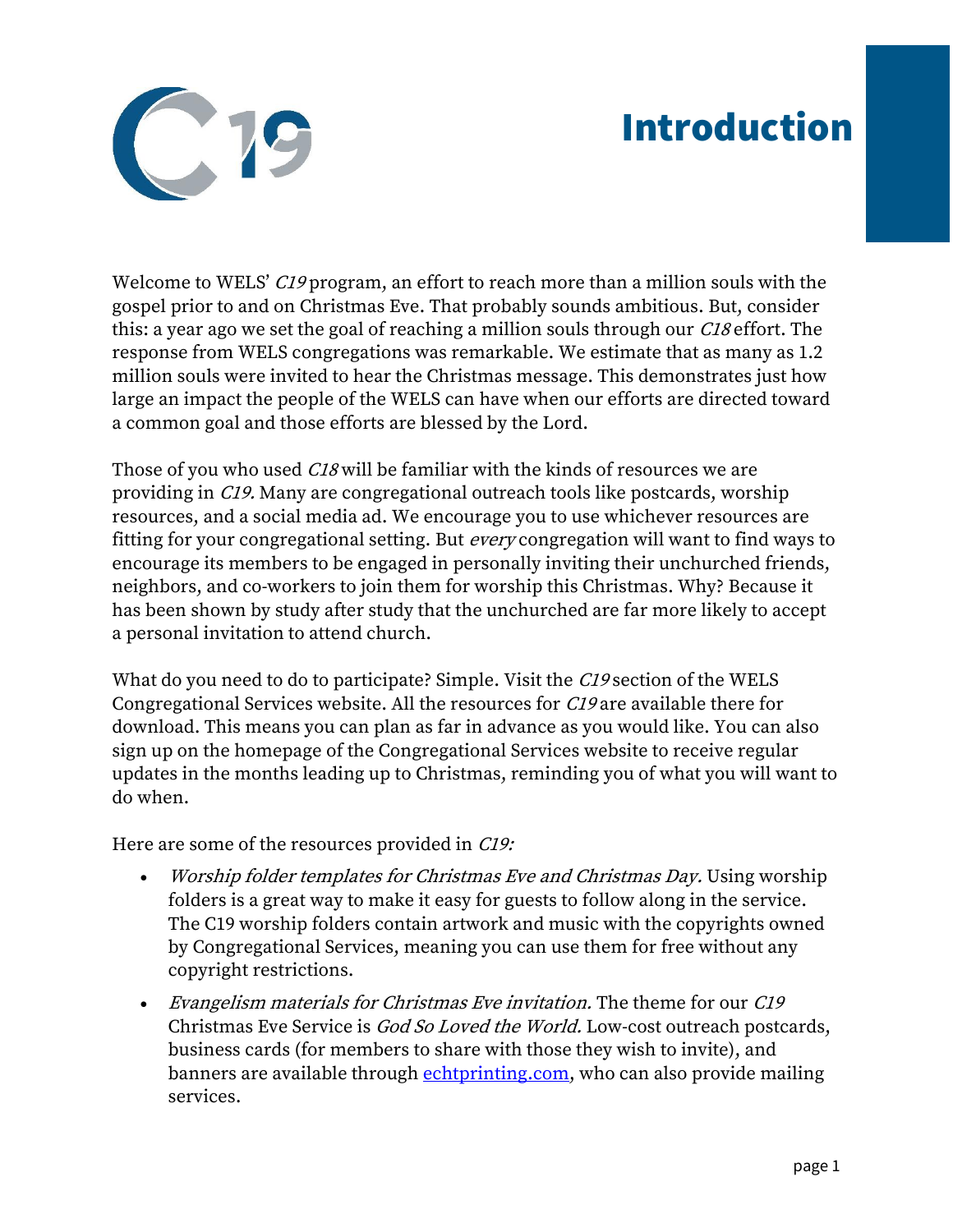## Introduction



Welcome to WELS' C19 program, an effort to reach more than a million souls with the gospel prior to and on Christmas Eve. That probably sounds ambitious. But, consider this: a year ago we set the goal of reaching a million souls through our *C18* effort. The response from WELS congregations was remarkable. We estimate that as many as 1.2 million souls were invited to hear the Christmas message. This demonstrates just how large an impact the people of the WELS can have when our efforts are directed toward a common goal and those efforts are blessed by the Lord.

Those of you who used *C18* will be familiar with the kinds of resources we are providing in C19. Many are congregational outreach tools like postcards, worship resources, and a social media ad. We encourage you to use whichever resources are fitting for your congregational setting. But every congregation will want to find ways to encourage its members to be engaged in personally inviting their unchurched friends, neighbors, and co-workers to join them for worship this Christmas. Why? Because it has been shown by study after study that the unchurched are far more likely to accept a personal invitation to attend church.

What do you need to do to participate? Simple. Visit the C19 section of the WELS Congregational Services website. All the resources for C19 are available there for download. This means you can plan as far in advance as you would like. You can also sign up on the homepage of the Congregational Services website to receive regular updates in the months leading up to Christmas, reminding you of what you will want to do when.

Here are some of the resources provided in C19:

- Worship folder templates for Christmas Eve and Christmas Day. Using worship folders is a great way to make it easy for guests to follow along in the service. The C19 worship folders contain artwork and music with the copyrights owned by Congregational Services, meaning you can use them for free without any copyright restrictions.
- Evangelism materials for Christmas Eve invitation. The theme for our C19 Christmas Eve Service is God So Loved the World. Low-cost outreach postcards, business cards (for members to share with those they wish to invite), and banners are available through [echtprinting.com,](https://www.echtprinting.com/wels-c19) who can also provide mailing services.